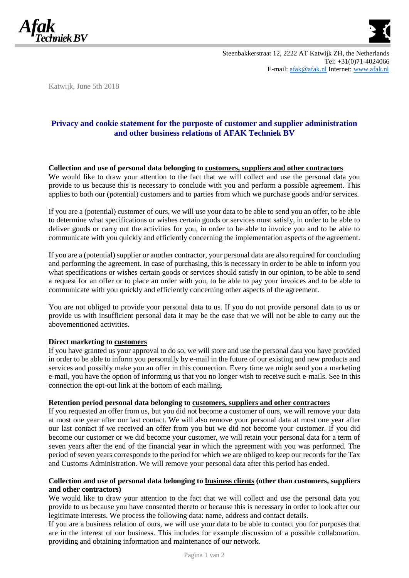



Katwijk, June 5th 2018

# **Privacy and cookie statement for the purposte of customer and supplier administration and other business relations of AFAK Techniek BV**

#### **Collection and use of personal data belonging to customers, suppliers and other contractors**

We would like to draw your attention to the fact that we will collect and use the personal data you provide to us because this is necessary to conclude with you and perform a possible agreement. This applies to both our (potential) customers and to parties from which we purchase goods and/or services.

If you are a (potential) customer of ours, we will use your data to be able to send you an offer, to be able to determine what specifications or wishes certain goods or services must satisfy, in order to be able to deliver goods or carry out the activities for you, in order to be able to invoice you and to be able to communicate with you quickly and efficiently concerning the implementation aspects of the agreement.

If you are a (potential) supplier or another contractor, your personal data are also required for concluding and performing the agreement. In case of purchasing, this is necessary in order to be able to inform you what specifications or wishes certain goods or services should satisfy in our opinion, to be able to send a request for an offer or to place an order with you, to be able to pay your invoices and to be able to communicate with you quickly and efficiently concerning other aspects of the agreement.

You are not obliged to provide your personal data to us. If you do not provide personal data to us or provide us with insufficient personal data it may be the case that we will not be able to carry out the abovementioned activities.

#### **Direct marketing to customers**

If you have granted us your approval to do so, we will store and use the personal data you have provided in order to be able to inform you personally by e-mail in the future of our existing and new products and services and possibly make you an offer in this connection. Every time we might send you a marketing e-mail, you have the option of informing us that you no longer wish to receive such e-mails. See in this connection the opt-out link at the bottom of each mailing.

#### **Retention period personal data belonging to customers, suppliers and other contractors**

If you requested an offer from us, but you did not become a customer of ours, we will remove your data at most one year after our last contact. We will also remove your personal data at most one year after our last contact if we received an offer from you but we did not become your customer. If you did become our customer or we did become your customer, we will retain your personal data for a term of seven years after the end of the financial year in which the agreement with you was performed. The period of seven years corresponds to the period for which we are obliged to keep our records for the Tax and Customs Administration. We will remove your personal data after this period has ended.

#### **Collection and use of personal data belonging to business clients (other than customers, suppliers and other contractors)**

We would like to draw your attention to the fact that we will collect and use the personal data you provide to us because you have consented thereto or because this is necessary in order to look after our legitimate interests. We process the following data: name, address and contact details.

If you are a business relation of ours, we will use your data to be able to contact you for purposes that are in the interest of our business. This includes for example discussion of a possible collaboration, providing and obtaining information and maintenance of our network.